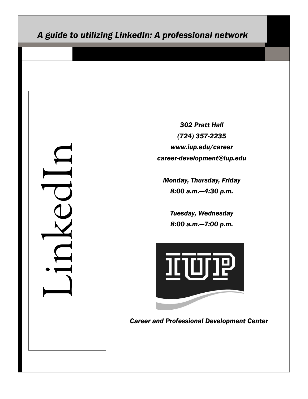# *A guide to utilizing LinkedIn: A professional network*

LinkedIn

*302 Pratt Hall (724) 357-2235 www.iup.edu/career career-development@iup.edu*

*Monday, Thursday, Friday 8:00 a.m.—4:30 p.m.*

*Tuesday, Wednesday 8:00 a.m.—7:00 p.m.*



*Career and Professional Development Center*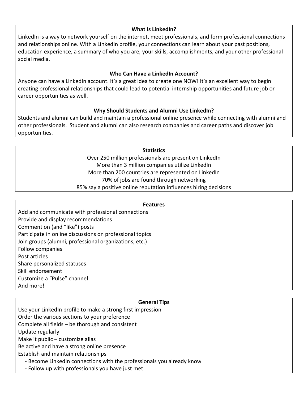## **What Is LinkedIn?**

LinkedIn is a way to network yourself on the internet, meet professionals, and form professional connections and relationships online. With a LinkedIn profile, your connections can learn about your past positions, education experience, a summary of who you are, your skills, accomplishments, and your other professional social media.

# **Who Can Have a LinkedIn Account?**

Anyone can have a LinkedIn account. It's a great idea to create one NOW! It's an excellent way to begin creating professional relationships that could lead to potential internship opportunities and future job or career opportunities as well.

# **Why Should Students and Alumni Use LinkedIn?**

Students and alumni can build and maintain a professional online presence while connecting with alumni and other professionals. Student and alumni can also research companies and career paths and discover job opportunities.

## **Statistics**

Over 250 million professionals are present on LinkedIn More than 3 million companies utilize LinkedIn More than 200 countries are represented on LinkedIn 70% of jobs are found through networking 85% say a positive online reputation influences hiring decisions

#### **Features**

Add and communicate with professional connections Provide and display recommendations Comment on (and "like") posts Participate in online discussions on professional topics Join groups (alumni, professional organizations, etc.) Follow companies Post articles Share personalized statuses Skill endorsement Customize a "Pulse" channel And more!

## **General Tips**

Use your LinkedIn profile to make a strong first impression Order the various sections to your preference Complete all fields – be thorough and consistent

Update regularly

Make it public – customize alias

Be active and have a strong online presence

Establish and maintain relationships

- Become LinkedIn connections with the professionals you already know
- Follow up with professionals you have just met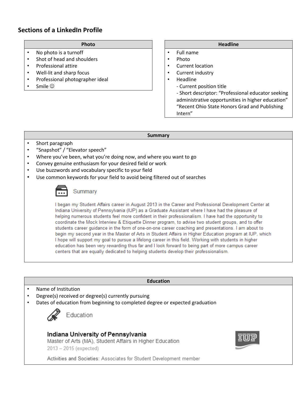# **Sections of a LinkedIn Profile**

### **Photo**

- No photo is a turnoff
- Shot of head and shoulders
- Professional attire
- Well-lit and sharp focus
- Professional photographer ideal
- Smile  $\odot$

### **Headline**

- Full name
- Photo
- Current location
- Current industry
- Headline
	- Current position title

- Short descriptor: "Professional educator seeking administrative opportunities in higher education" "Recent Ohio State Honors Grad and Publishing Intern"

#### **Summary**

- Short paragraph
- "Snapshot" / "Elevator speech"
- Where you've been, what you're doing now, and where you want to go
- Convey genuine enthusiasm for your desired field or work
- Use buzzwords and vocabulary specific to your field
- Use common keywords for your field to avoid being filtered out of searches

# Summary

I began my Student Affairs career in August 2013 in the Career and Professional Development Center at Indiana University of Pennsylvania (IUP) as a Graduate Assistant where I have had the pleasure of helping numerous students feel more confident in their professionalism. I have had the opportunity to coordinate the Mock Interview & Etiquette Dinner program, to advise two student groups, and to offer students career guidance in the form of one-on-one career coaching and presentations. I am about to begin my second year in the Master of Arts in Student Affairs in Higher Education program at IUP, which I hope will support my goal to pursue a lifelong career in this field. Working with students in higher education has been very rewarding thus far and I look forward to being part of more campus career centers that are equally dedicated to helping students develop their professionalism.

#### **Education**

- Name of Institution
- Degree(s) received or degree(s) currently pursuing
- Dates of education from beginning to completed degree or expected graduation



Education

# Indiana University of Pennsylvania

Master of Arts (MA), Student Affairs in Higher Education 2013 - 2015 (expected)



Activities and Societies: Associates for Student Development member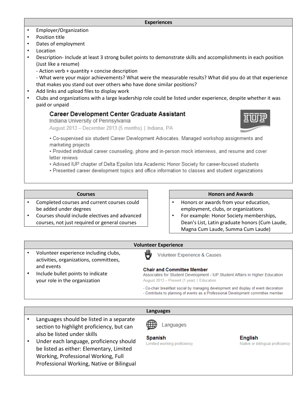#### **Experiences**

- Employer/Organization
- Position title
- Dates of employment
- **Location**
- Description- Include at least 3 strong bullet points to demonstrate skills and accomplishments in each position (Just like a resume)
	- Action verb + quantity + concise description
	- What were your major achievements? What were the measurable results? What did you do at that experience that makes you stand out over others who have done similar positions?
- Add links and upload files to display work
- Clubs and organizations with a large leadership role could be listed under experience, despite whether it was paid or unpaid

## **Career Development Center Graduate Assistant**

Indiana University of Pennsylvania

August 2013 - December 2013 (5 months) | Indiana, PA



. Co-supervised six student Career Development Advocates. Managed workshop assignments and marketing projects

. Provided individual career counseling, phone and in-person mock interviews, and resume and cover letter reviews

- . Advised IUP chapter of Delta Epsilon lota Academic Honor Society for career-focused students
- . Presented career development topics and office information to classes and student organizations

#### **Courses**

- Completed courses and current courses could be added under degrees
- Courses should include electives and advanced courses, not just required or general courses

#### **Honors and Awards**

- Honors or awards from your education, employment, clubs, or organizations
- For example: Honor Society memberships, Dean's List, Latin graduate honors (Cum Laude, Magna Cum Laude, Summa Cum Laude)

#### **Volunteer Experience**

- Volunteer experience including clubs, activities, organizations, committees, and events
- Include bullet points to indicate your role in the organization

## Volunteer Experience & Causes

#### **Chair and Committee Member**

Associates for Student Development - IUP Student Affairs in Higher Education August 2013 - Present (1 year) | Education

- Co-chair breakfast social by managing development and display of event decoration
- Contribute to planning of events as a Professional Development committee member

#### **Languages**

- Languages should be listed in a separate section to highlight proficiency, but can also be listed under skills
- Under each language, proficiency should be listed as either: Elementary, Limited Working, Professional Working, Full Professional Working, Native or Bilingual

Languages

**Spanish** Limited working proficiency

**English** Native or bilingual proficiency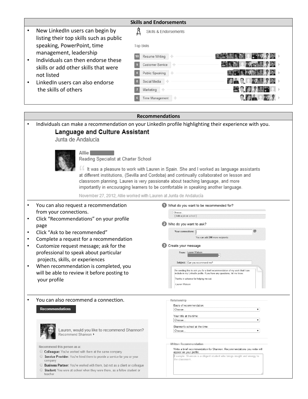|   |                                                                            | <b>Skills and Endorsements</b>                  |                                  |
|---|----------------------------------------------------------------------------|-------------------------------------------------|----------------------------------|
|   | New LinkedIn users can begin by<br>listing their top skills such as public | Skills & Endorsements                           |                                  |
|   | speaking, PowerPoint, time<br>management, leadership                       | Top Skills                                      |                                  |
| ٠ | Individuals can then endorse these                                         | Resume Writing<br>10<br><b>Customer Service</b> | <b>EXPLAN</b><br><b>SOFT PRO</b> |
|   | skills or add other skills that were<br>not listed                         | Public Speaking                                 | <b>ALCOHOL: 02 YEARS</b>         |
|   | Linked n users can also endorse                                            | Social Media<br>nja                             | <b>FORD 2.0.</b><br><b>BADO</b>  |
|   | the skills of others                                                       | Marketing                                       | ac d'I                           |
|   |                                                                            | Time Management<br>4                            |                                  |

|                                                                                                                                                                                                                                                                                                                                                                                                                                                                                      | <b>Recommendations</b>                                                                                                                                                                                                                                                                                                                                                                                                                                                 |
|--------------------------------------------------------------------------------------------------------------------------------------------------------------------------------------------------------------------------------------------------------------------------------------------------------------------------------------------------------------------------------------------------------------------------------------------------------------------------------------|------------------------------------------------------------------------------------------------------------------------------------------------------------------------------------------------------------------------------------------------------------------------------------------------------------------------------------------------------------------------------------------------------------------------------------------------------------------------|
| <b>Language and Culture Assistant</b><br>Junta de Andalucía                                                                                                                                                                                                                                                                                                                                                                                                                          | Individuals can make a recommendation on your LinkedIn profile highlighting their experience with you.                                                                                                                                                                                                                                                                                                                                                                 |
| Allie I<br>Reading Specialist at Charter School<br>November 27, 2012, Allie worked with Lauren at Junta de Andalucía                                                                                                                                                                                                                                                                                                                                                                 | If It was a pleasure to work with Lauren in Spain. She and I worked as language assistants<br>at different institutions, (Sevilla and Cordoba) and continually collaborated on lesson and<br>classroom planning. Lauren is very passionate about teaching language, and more<br>importantly in encouraging learners to be comfortable in speaking another language.                                                                                                    |
| You can also request a recommendation<br>from your connections.<br>Click "Recommendations" on your profile<br>page<br>Click "Ask to be recommended"<br>Complete a request for a recommendation<br>Customize request message; ask for the<br>$\bullet$<br>professional to speak about particular<br>projects, skills, or experiences<br>When recommendation is completed, you<br>$\bullet$<br>will be able to review it before posting to<br>your profile                             | What do you want to be recommended for?<br>Choose.<br>[Add a job or school]<br>2 Who do you want to ask?<br>Your connections:<br>You can add 200 more recipients<br>Create your message<br>From: Lauren Watson<br>Subject: Can you recommend me?<br>I'm sending this to ask you for a brief recommendation of my work that I can<br>include in my LinkedIn profile. If you have any questions, let me know.<br>Thanks in advance for helping me out.<br>-Lauren Watson |
| You can also recommend a connection.<br><b>Recommendations</b><br>Lauren, would you like to recommend Shannon?<br>Recommend Shannon ><br>Recommend this person as a:<br>○ Colleague: You've worked with them at the same company<br>Service Provider: You've hired them to provide a service for you or your<br>company<br>O Business Partner: You've worked with them, but not as a client or colleague<br>Student: You were at school when they were there, as a fellow student or | Relationship<br>Basis of recommendation:<br>۷.<br>Choose<br>Your title at the time:<br>Choose<br>۷.<br>Shannon's school at the time:<br>۷.<br>Choose.<br>Written Recommendation<br>Write a brief recommendation for Shannon. Recommendations you write will<br>appear on your profile.<br>Example: Shannon is a diligent student who brings insight and energy to<br>the classroom                                                                                     |